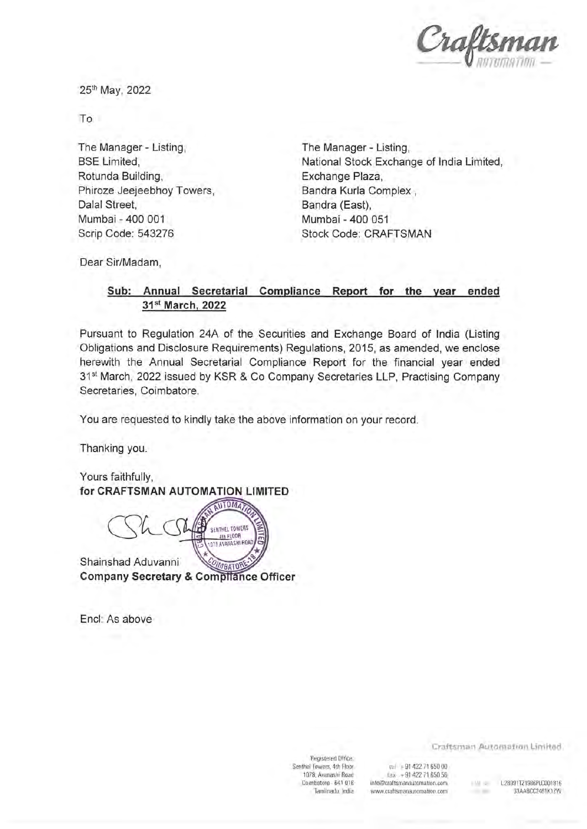

25th May, 2022

To

The Manager- Listing, BSE Limited, Rotunda Building, Phiroze Jeejeebhoy Towers, Dalal Street, Mumbai -400 001 Scrip Code: 543276

The Manager- Listing, National Stock Exchange of India Limited, Exchange Plaza, Bandra Kurla Complex , Bandra (East), Mumbai -400 051 Stock Code: CRAFTSMAN

Dear Sir/Madam,

## Sub: Annual Secretarial Compliance Report for the year ended 31st March, 2022

Pursuant to Regulation 24A of the Securities and Exchange Board of India (Listing Obligations and Disclosure Requirements) Regulations, 2015, as amended, we enclose herewith the Annual Secretarial Compliance Report for the financial year ended 31<sup>st</sup> March, 2022 issued by KSR & Co Company Secretaries LLP, Practising Company Secretaries, Coimbatore.

You are requested to kindly take the above information on your record.

Thanking you.

Yours faithfully, for CRAFTSMAN AUTOMATION LIMITED

SENTHEL TOWERS 4th FLOOR 075 AVAILASHI ROAD

Shainshad Aduvanni '^^BK^^^ Company Secretary & Compilance Officer

End: As above

Registered Office: Senthe! Towers, 4th Floor 1078, Avanashi Road Coimbatore - 641 018 Tamilnadu, India

tei +914227165000 fax. +91 422 71 650 56 info@craftsmanautomation.com www. craftsmanautomation. com

Craftsman Automation Limited

 $-1.36$ 

r;iN Nr L28991TZ1986PLC001816 33AABCC2461K1ZW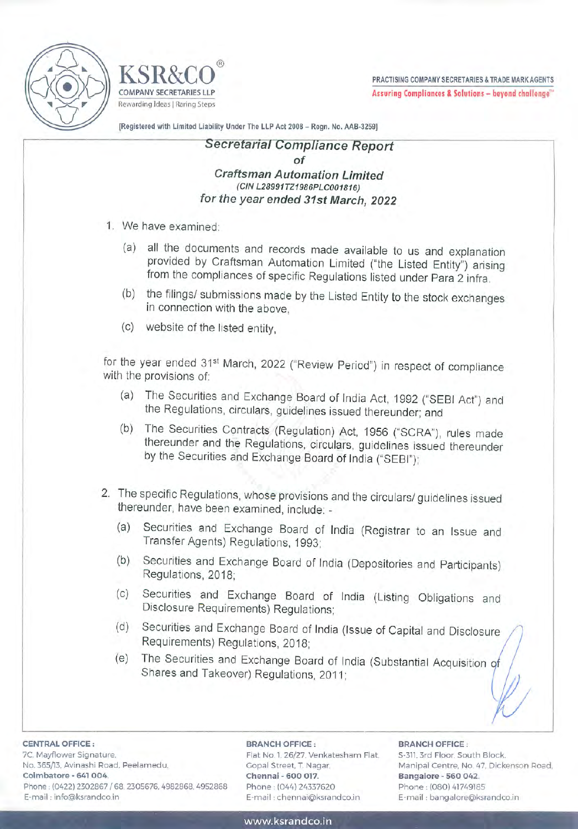



PRACTISING COMPANY SECRETARIES & TRADE MARK AGENTS COMPANY SECRETARIES LLP **Assuring Compliances & Solutions – beyond challenge**"

[Registered with Limited Liability Under The LLP Act 2008 - Regn. No. AAB-3259]

## Secretarial Compliance Report of Craftsman Automation Limited (CIN L28991TZ1986PLC001816) for the year ended 31st March, 2022

- 1. We have examined:
	- (a) all the documents and records made available to us and explanation provided by Craftsman Automation Limited ("the Listed Entity") arising from the compliances of specific Regulations listed under Para 2 infra. <sup>|</sup>
	- (b) the filings/ submissions made by the Listed Entity to the stock exchanges in connection with the above,
	- (C) website of the listed entity,

for the year ended 31<sup>st</sup> March, 2022 ("Review Period") in respect of compliance with the provisions of:

- (a) The Securities and Exchange Board of India Act, 1992 ("SEBI Act") and the Regulations, circulars, guidelines issued thereunder; and
- (0) The Securities Contracts (Regulation) Act, 1956 ("SCRA"), rules made thereunder and the Regulations, circulars, guidelines issued thereunder by the Securities and Exchange Board of India ("SEBI")
- 2. The specific Regulations, whose provisions and the circulars/ guidelines issued thereunder, have been examined, include:
	- (a) Securities and Exchange Board of India (Registrar to an Issue and Transfer Agents) Regulations, 1993:
	- (b) Securities and Exchange Board of India (Depositories and Participants) Regulations, 2018:
	- (c) Securities and Exchange Board of India (Listing Obligations and Disclosure Requirements) Regulations:
	- (d) Securities and Exchange Board of India (Issue of Capital and Disclosure Requirements) Regulations, 2018;
	- (e) The Securities and Exchange Board of India (Substantial Acquisition of Shares and Takeover) Regulations, 2011:

7C, Mayflower Signature, CENTRAL OFFICE

CENTRAL OFFI<br>7C, Mayflower S<br>No. 365/13, Avin<br>Coimbatore - 6<br>Phone : (0422) 2<br>E-mail : info@k No. 365/13. Avinashi Road, Peelamedu, Gopal Street, T. Nagar, Manipal Centre, No. 47, Dickenson Road, Coimbatore - 641 004. Chennai - 600 017. Bangalore - 560 042. Phone : (0422) 2302867 / 68, 2305676, 4982868, 4952868 Phone : (044) 24337620 Phone : (080) 41749185 E-mail : info@ksrandco.in E-mail : chennai@ksrandco.in E-mail : bangalore@ksrandca.in

## : BRANCH OFFICE:

Flat No. 1, 26/27, Venkatesham Flat. 5-311

## BRANCH OFFICE:

3rd Floor, South Block.

/

W/

www .ksrandco.in